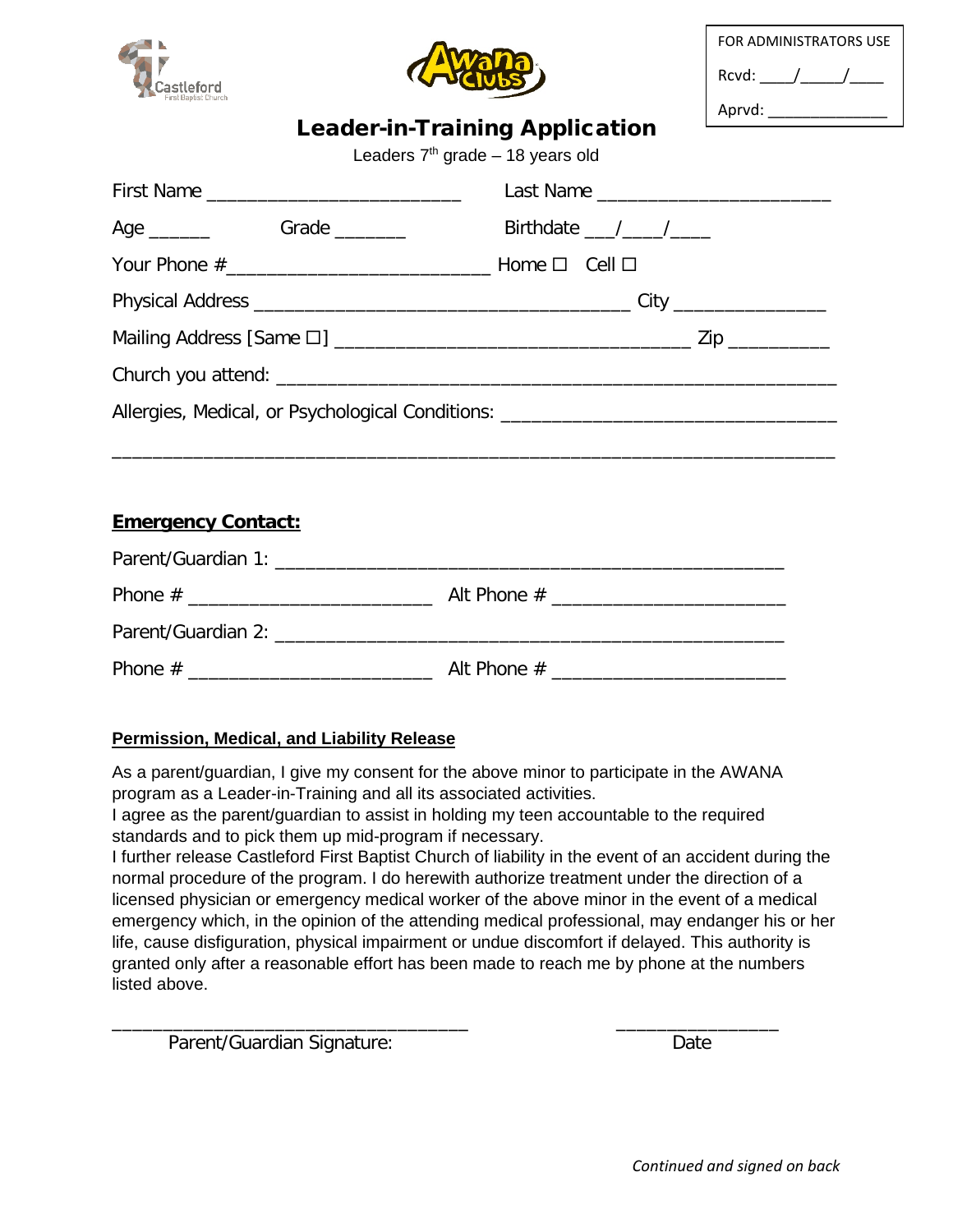



| FOR ADMINISTRATORS USE |  |  |
|------------------------|--|--|
| Rcvd:                  |  |  |
| Aprvd:                 |  |  |

# Leader-in-Training Application

Leaders  $7<sup>th</sup>$  grade – 18 years old

|                                                                                  | Birthdate $\frac{\mu}{\sigma}$ |  |
|----------------------------------------------------------------------------------|--------------------------------|--|
|                                                                                  |                                |  |
|                                                                                  |                                |  |
|                                                                                  |                                |  |
|                                                                                  |                                |  |
| Allergies, Medical, or Psychological Conditions: _______________________________ |                                |  |
|                                                                                  |                                |  |

## **Emergency Contact:**

| Parent/Guardian 1:                                              |               |
|-----------------------------------------------------------------|---------------|
| Phone $#$<br><u> 1989 - John Stein, Amerikaansk politiker (</u> | Alt Phone $#$ |
| Parent/Guardian 2:                                              |               |
| Phone $#$                                                       | Alt Phone $#$ |

## **Permission, Medical, and Liability Release**

As a parent/guardian, I give my consent for the above minor to participate in the AWANA program as a Leader-in-Training and all its associated activities.

I agree as the parent/guardian to assist in holding my teen accountable to the required standards and to pick them up mid-program if necessary.

\_\_\_\_\_\_\_\_\_\_\_\_\_\_\_\_\_\_\_\_\_\_\_\_\_\_\_\_\_\_\_\_\_\_\_ \_\_\_\_\_\_\_\_\_\_\_\_\_\_\_\_

I further release Castleford First Baptist Church of liability in the event of an accident during the normal procedure of the program. I do herewith authorize treatment under the direction of a licensed physician or emergency medical worker of the above minor in the event of a medical emergency which, in the opinion of the attending medical professional, may endanger his or her life, cause disfiguration, physical impairment or undue discomfort if delayed. This authority is granted only after a reasonable effort has been made to reach me by phone at the numbers listed above.

Parent/Guardian Signature: Date